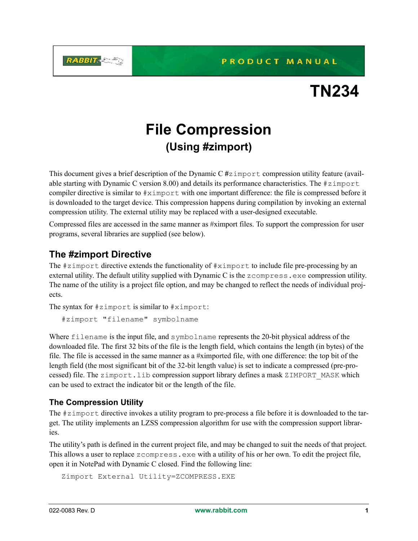PRODUCT MANUAL



# **File Compression (Using #zimport)**

This document gives a brief description of the Dynamic C **#**zimport compression utility feature (available starting with Dynamic C version 8.00) and details its performance characteristics. The  $\#z$  import compiler directive is similar to #ximport with one important difference: the file is compressed before it is downloaded to the target device. This compression happens during compilation by invoking an external compression utility. The external utility may be replaced with a user-designed executable.

Compressed files are accessed in the same manner as #ximport files. To support the compression for user programs, several libraries are supplied (see below).

## **The #zimport Directive**

**RABBIT-CE** 

The #zimport directive extends the functionality of #ximport to include file pre-processing by an external utility. The default utility supplied with Dynamic C is the zcompress.exe compression utility. The name of the utility is a project file option, and may be changed to reflect the needs of individual projects.

The syntax for #zimport is similar to #ximport:

#zimport "filename" symbolname

Where filename is the input file, and symbolname represents the 20-bit physical address of the downloaded file. The first 32 bits of the file is the length field, which contains the length (in bytes) of the file. The file is accessed in the same manner as a #ximported file, with one difference: the top bit of the length field (the most significant bit of the 32-bit length value) is set to indicate a compressed (pre-processed) file. The zimport.lib compression support library defines a mask ZIMPORT\_MASK which can be used to extract the indicator bit or the length of the file.

### **The Compression Utility**

The #zimport directive invokes a utility program to pre-process a file before it is downloaded to the target. The utility implements an LZSS compression algorithm for use with the compression support libraries.

The utility's path is defined in the current project file, and may be changed to suit the needs of that project. This allows a user to replace zcompress.exe with a utility of his or her own. To edit the project file, open it in NotePad with Dynamic C closed. Find the following line:

```
Zimport External Utility=ZCOMPRESS.EXE
```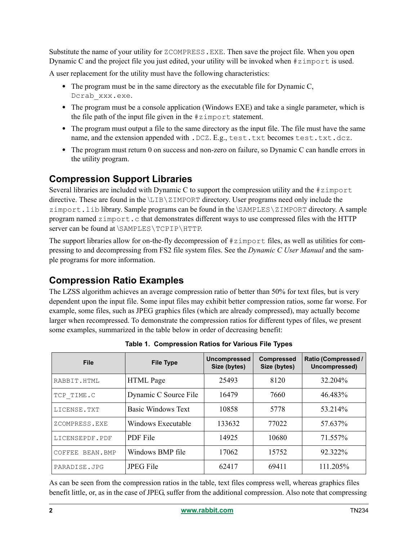Substitute the name of your utility for ZCOMPRESS.EXE. Then save the project file. When you open Dynamic C and the project file you just edited, your utility will be invoked when  $\#z$  import is used.

A user replacement for the utility must have the following characteristics:

- The program must be in the same directory as the executable file for Dynamic C, Dcrab\_xxx.exe.
- The program must be a console application (Windows EXE) and take a single parameter, which is the file path of the input file given in the #zimport statement.
- The program must output a file to the same directory as the input file. The file must have the same name, and the extension appended with . DCZ. E.g., test.txt becomes test.txt.dcz.
- The program must return 0 on success and non-zero on failure, so Dynamic C can handle errors in the utility program.

## **Compression Support Libraries**

Several libraries are included with Dynamic C to support the compression utility and the  $\#z$  import directive. These are found in the \LIB\ZIMPORT directory. User programs need only include the zimport.lib library. Sample programs can be found in the \SAMPLES\ZIMPORT directory. A sample program named  $z = z \cdot z$  that demonstrates different ways to use compressed files with the HTTP server can be found at \SAMPLES\TCPIP\HTTP.

The support libraries allow for on-the-fly decompression of  $\#z$  import files, as well as utilities for compressing to and decompressing from FS2 file system files. See the *Dynamic C User Manual* and the sample programs for more information.

## **Compression Ratio Examples**

The LZSS algorithm achieves an average compression ratio of better than 50% for text files, but is very dependent upon the input file. Some input files may exhibit better compression ratios, some far worse. For example, some files, such as JPEG graphics files (which are already compressed), may actually become larger when recompressed. To demonstrate the compression ratios for different types of files, we present some examples, summarized in the table below in order of decreasing benefit:

| <b>File</b>        | <b>File Type</b>          | <b>Uncompressed</b><br>Size (bytes) | <b>Compressed</b><br>Size (bytes) | Ratio (Compressed /<br>Uncompressed) |
|--------------------|---------------------------|-------------------------------------|-----------------------------------|--------------------------------------|
| RABBIT.HTML        | <b>HTML</b> Page          | 25493                               | 8120                              | 32.204%                              |
| TCP TIME.C         | Dynamic C Source File     | 16479                               | 7660                              | 46.483%                              |
| LICENSE.TXT        | <b>Basic Windows Text</b> | 10858                               | 5778                              | 53.214%                              |
| ZCOMPRESS.EXE      | Windows Executable        | 133632                              | 77022                             | 57.637%                              |
| LICENSEPDF.PDF     | <b>PDF</b> File           | 14925                               | 10680                             | 71.557%                              |
| BEAN.BMP<br>COFFEE | Windows BMP file          | 17062                               | 15752                             | 92.322%                              |
| PARADISE.JPG       | <b>JPEG File</b>          | 62417                               | 69411                             | 111.205%                             |

**Table 1. Compression Ratios for Various File Types**

As can be seen from the compression ratios in the table, text files compress well, whereas graphics files benefit little, or, as in the case of JPEG, suffer from the additional compression. Also note that compressing